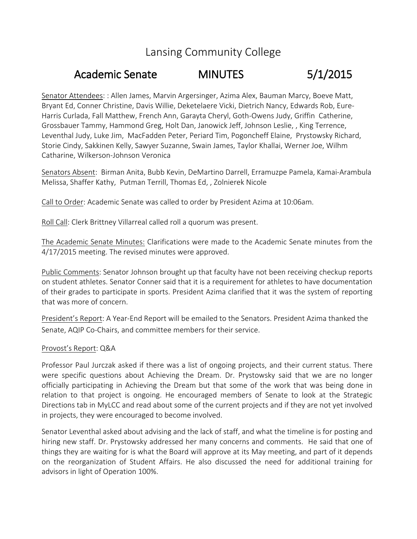## Academic Senate MINUTES 5/1/2015

Senator Attendees: : Allen James, Marvin Argersinger, Azima Alex, Bauman Marcy, Boeve Matt, Bryant Ed, Conner Christine, Davis Willie, Deketelaere Vicki, Dietrich Nancy, Edwards Rob, Eure-Harris Curlada, Fall Matthew, French Ann, Garayta Cheryl, Goth-Owens Judy, Griffin Catherine, Grossbauer Tammy, Hammond Greg, Holt Dan, Janowick Jeff, Johnson Leslie, , King Terrence, Leventhal Judy, Luke Jim, MacFadden Peter, Periard Tim, Pogoncheff Elaine, Prystowsky Richard, Storie Cindy, Sakkinen Kelly, Sawyer Suzanne, Swain James, Taylor Khallai, Werner Joe, Wilhm Catharine, Wilkerson-Johnson Veronica

Senators Absent: Birman Anita, Bubb Kevin, DeMartino Darrell, Erramuzpe Pamela, Kamai-Arambula Melissa, Shaffer Kathy, Putman Terrill, Thomas Ed, , Zolnierek Nicole

Call to Order: Academic Senate was called to order by President Azima at 10:06am.

Roll Call: Clerk Brittney Villarreal called roll a quorum was present.

The Academic Senate Minutes: Clarifications were made to the Academic Senate minutes from the 4/17/2015 meeting. The revised minutes were approved.

Public Comments: Senator Johnson brought up that faculty have not been receiving checkup reports on student athletes. Senator Conner said that it is a requirement for athletes to have documentation of their grades to participate in sports. President Azima clarified that it was the system of reporting that was more of concern.

President's Report: A Year-End Report will be emailed to the Senators. President Azima thanked the Senate, AQIP Co-Chairs, and committee members for their service.

## Provost's Report: Q&A

Professor Paul Jurczak asked if there was a list of ongoing projects, and their current status. There were specific questions about Achieving the Dream. Dr. Prystowsky said that we are no longer officially participating in Achieving the Dream but that some of the work that was being done in relation to that project is ongoing. He encouraged members of Senate to look at the Strategic Directions tab in MyLCC and read about some of the current projects and if they are not yet involved in projects, they were encouraged to become involved.

Senator Leventhal asked about advising and the lack of staff, and what the timeline is for posting and hiring new staff. Dr. Prystowsky addressed her many concerns and comments. He said that one of things they are waiting for is what the Board will approve at its May meeting, and part of it depends on the reorganization of Student Affairs. He also discussed the need for additional training for advisors in light of Operation 100%.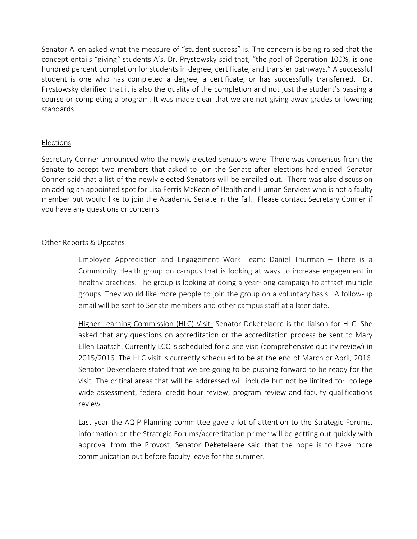Senator Allen asked what the measure of "student success" is. The concern is being raised that the concept entails "giving*"* students A's. Dr. Prystowsky said that, "the goal of Operation 100%, is one hundred percent completion for students in degree, certificate, and transfer pathways." A successful student is one who has completed a degree, a certificate, or has successfully transferred. Dr. Prystowsky clarified that it is also the quality of the completion and not just the student's passing a course or completing a program. It was made clear that we are not giving away grades or lowering standards.

## Elections

Secretary Conner announced who the newly elected senators were. There was consensus from the Senate to accept two members that asked to join the Senate after elections had ended. Senator Conner said that a list of the newly elected Senators will be emailed out. There was also discussion on adding an appointed spot for Lisa Ferris McKean of Health and Human Services who is not a faulty member but would like to join the Academic Senate in the fall. Please contact Secretary Conner if you have any questions or concerns.

## Other Reports & Updates

Employee Appreciation and Engagement Work Team: Daniel Thurman – There is a Community Health group on campus that is looking at ways to increase engagement in healthy practices. The group is looking at doing a year-long campaign to attract multiple groups. They would like more people to join the group on a voluntary basis. A follow-up email will be sent to Senate members and other campus staff at a later date.

Higher Learning Commission (HLC) Visit- Senator Deketelaere is the liaison for HLC. She asked that any questions on accreditation or the accreditation process be sent to Mary Ellen Laatsch. Currently LCC is scheduled for a site visit (comprehensive quality review) in 2015/2016. The HLC visit is currently scheduled to be at the end of March or April, 2016. Senator Deketelaere stated that we are going to be pushing forward to be ready for the visit. The critical areas that will be addressed will include but not be limited to: college wide assessment, federal credit hour review, program review and faculty qualifications review.

Last year the AQIP Planning committee gave a lot of attention to the Strategic Forums, information on the Strategic Forums/accreditation primer will be getting out quickly with approval from the Provost. Senator Deketelaere said that the hope is to have more communication out before faculty leave for the summer.